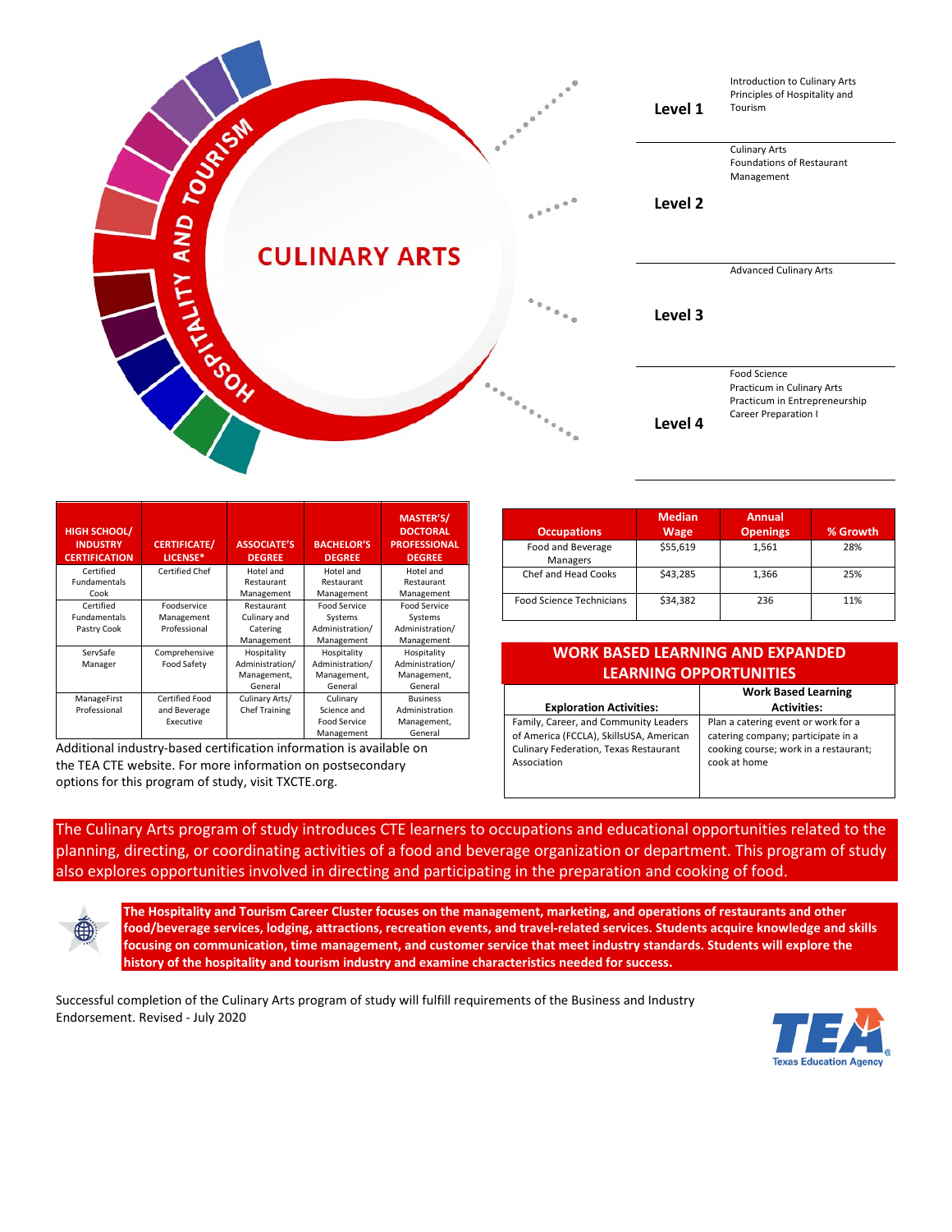

| <b>HIGH SCHOOL/</b><br><b>INDUSTRY</b><br><b>CERTIFICATION</b> | <b>CERTIFICATE/</b><br>LICENSE* | <b>ASSOCIATE'S</b><br><b>DEGREE</b> | <b>BACHELOR'S</b><br><b>DEGREE</b> | <b>MASTER'S/</b><br><b>DOCTORAL</b><br><b>PROFESSIONAL</b><br><b>DEGREE</b> |
|----------------------------------------------------------------|---------------------------------|-------------------------------------|------------------------------------|-----------------------------------------------------------------------------|
| Certified                                                      | <b>Certified Chef</b>           | Hotel and                           | Hotel and                          | Hotel and                                                                   |
| <b>Fundamentals</b>                                            |                                 | Restaurant                          | Restaurant                         | Restaurant                                                                  |
| Cook                                                           |                                 | Management                          | Management                         | Management                                                                  |
| Certified                                                      | Foodservice                     | Restaurant                          | Food Service                       | Food Service                                                                |
| Fundamentals                                                   | Management                      | Culinary and                        | Systems                            | Systems                                                                     |
| Pastry Cook                                                    | Professional                    | Catering                            | Administration/                    | Administration/                                                             |
|                                                                |                                 | Management                          | Management                         | Management                                                                  |
| ServSafe                                                       | Comprehensive                   | Hospitality                         | Hospitality                        | Hospitality                                                                 |
| Manager                                                        | <b>Food Safety</b>              | Administration/                     | Administration/                    | Administration/                                                             |
|                                                                |                                 | Management,                         | Management,                        | Management,                                                                 |
|                                                                |                                 | General                             | General                            | General                                                                     |
| ManageFirst                                                    | <b>Certified Food</b>           | Culinary Arts/                      | Culinary                           | <b>Business</b>                                                             |
| Professional                                                   | and Beverage                    | <b>Chef Training</b>                | Science and                        | Administration                                                              |
|                                                                | Executive                       |                                     | Food Service                       | Management,                                                                 |
|                                                                |                                 |                                     | Management                         | General                                                                     |

Additional industry-based certification information is available on the TEA CTE website. For more information on postsecondary options for this program of study, visit TXCTE.org.

| <b>Occupations</b>              | <b>Median</b><br>Wage | <b>Annual</b><br><b>Openings</b> | % Growth |
|---------------------------------|-----------------------|----------------------------------|----------|
| Food and Beverage<br>Managers   | \$55,619              | 1,561                            | 28%      |
| Chef and Head Cooks             | \$43,285              | 1,366                            | 25%      |
| <b>Food Science Technicians</b> | \$34,382              | 236                              | 11%      |

## **WORK BASED LEARNING AND EXPANDED LEARNING OPPORTUNITIES**

|                                                                                                                                          | <b>Work Based Learning</b>                                                                                                         |
|------------------------------------------------------------------------------------------------------------------------------------------|------------------------------------------------------------------------------------------------------------------------------------|
| <b>Exploration Activities:</b>                                                                                                           | <b>Activities:</b>                                                                                                                 |
| Family, Career, and Community Leaders<br>of America (FCCLA), SkillsUSA, American<br>Culinary Federation, Texas Restaurant<br>Association | Plan a catering event or work for a<br>catering company; participate in a<br>cooking course; work in a restaurant;<br>cook at home |

The Culinary Arts program of study introduces CTE learners to occupations and educational opportunities related to the planning, directing, or coordinating activities of a food and beverage organization or department. This program of study also explores opportunities involved in directing and participating in the preparation and cooking of food.

**The Hospitality and Tourism Career Cluster focuses on the management, marketing, and operations of restaurants and other food/beverage services, lodging, attractions, recreation events, and travel-related services. Students acquire knowledge and skills focusing on communication, time management, and customer service that meet industry standards. Students will explore the history of the hospitality and tourism industry and examine characteristics needed for success.**

Successful completion of the Culinary Arts program of study will fulfill requirements of the Business and Industry Endorsement. Revised - July 2020